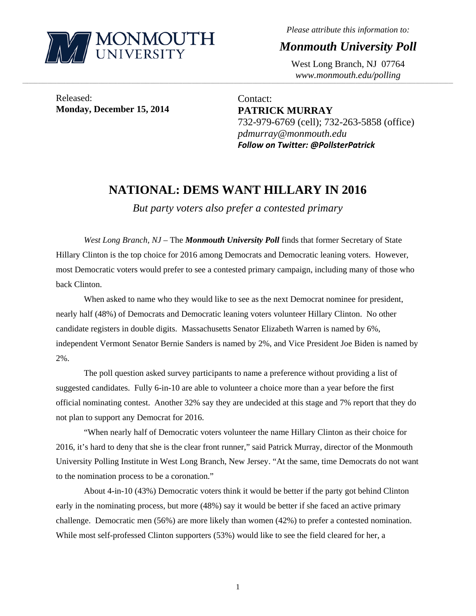

*Please attribute this information to:* 

*Monmouth University Poll* 

West Long Branch, NJ 07764 *www.monmouth.edu/polling* 

Released: **Monday, December 15, 2014** 

Contact: **PATRICK MURRAY**  732-979-6769 (cell); 732-263-5858 (office) *pdmurray@monmouth.edu Follow on Twitter: @PollsterPatrick*

## **NATIONAL: DEMS WANT HILLARY IN 2016**

,一个人的人都是不是,我们的人都是不是,我们的人都是不是,我们的人都是不是,我们的人都是不是,我们的人都是不是,我们的人都是不是,我们的人都是不是,我们的人都是不

*But party voters also prefer a contested primary* 

*West Long Branch, NJ* – The *Monmouth University Poll* finds that former Secretary of State Hillary Clinton is the top choice for 2016 among Democrats and Democratic leaning voters. However, most Democratic voters would prefer to see a contested primary campaign, including many of those who back Clinton.

 When asked to name who they would like to see as the next Democrat nominee for president, nearly half (48%) of Democrats and Democratic leaning voters volunteer Hillary Clinton. No other candidate registers in double digits. Massachusetts Senator Elizabeth Warren is named by 6%, independent Vermont Senator Bernie Sanders is named by 2%, and Vice President Joe Biden is named by 2%.

 The poll question asked survey participants to name a preference without providing a list of suggested candidates. Fully 6-in-10 are able to volunteer a choice more than a year before the first official nominating contest. Another 32% say they are undecided at this stage and 7% report that they do not plan to support any Democrat for 2016.

 "When nearly half of Democratic voters volunteer the name Hillary Clinton as their choice for 2016, it's hard to deny that she is the clear front runner," said Patrick Murray, director of the Monmouth University Polling Institute in West Long Branch, New Jersey. "At the same, time Democrats do not want to the nomination process to be a coronation."

 About 4-in-10 (43%) Democratic voters think it would be better if the party got behind Clinton early in the nominating process, but more (48%) say it would be better if she faced an active primary challenge. Democratic men (56%) are more likely than women (42%) to prefer a contested nomination. While most self-professed Clinton supporters (53%) would like to see the field cleared for her, a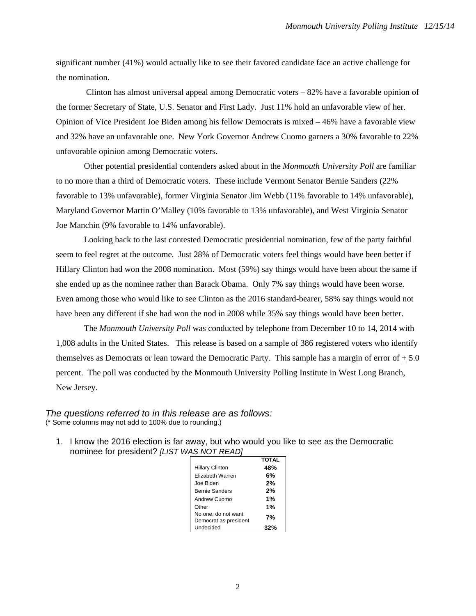significant number (41%) would actually like to see their favored candidate face an active challenge for the nomination.

 Clinton has almost universal appeal among Democratic voters – 82% have a favorable opinion of the former Secretary of State, U.S. Senator and First Lady. Just 11% hold an unfavorable view of her. Opinion of Vice President Joe Biden among his fellow Democrats is mixed – 46% have a favorable view and 32% have an unfavorable one. New York Governor Andrew Cuomo garners a 30% favorable to 22% unfavorable opinion among Democratic voters.

 Other potential presidential contenders asked about in the *Monmouth University Poll* are familiar to no more than a third of Democratic voters. These include Vermont Senator Bernie Sanders (22% favorable to 13% unfavorable), former Virginia Senator Jim Webb (11% favorable to 14% unfavorable), Maryland Governor Martin O'Malley (10% favorable to 13% unfavorable), and West Virginia Senator Joe Manchin (9% favorable to 14% unfavorable).

 Looking back to the last contested Democratic presidential nomination, few of the party faithful seem to feel regret at the outcome. Just 28% of Democratic voters feel things would have been better if Hillary Clinton had won the 2008 nomination. Most (59%) say things would have been about the same if she ended up as the nominee rather than Barack Obama. Only 7% say things would have been worse. Even among those who would like to see Clinton as the 2016 standard-bearer, 58% say things would not have been any different if she had won the nod in 2008 while 35% say things would have been better.

The *Monmouth University Poll* was conducted by telephone from December 10 to 14, 2014 with 1,008 adults in the United States. This release is based on a sample of 386 registered voters who identify themselves as Democrats or lean toward the Democratic Party. This sample has a margin of error of + 5.0 percent. The poll was conducted by the Monmouth University Polling Institute in West Long Branch, New Jersey.

*The questions referred to in this release are as follows:*  (\* Some columns may not add to 100% due to rounding.)

1. I know the 2016 election is far away, but who would you like to see as the Democratic nominee for president? *[LIST WAS NOT READ]*

|                                              | <b>TOTAL</b> |
|----------------------------------------------|--------------|
| <b>Hillary Clinton</b>                       | 48%          |
| Elizabeth Warren                             | 6%           |
| Joe Biden                                    | 2%           |
| <b>Bernie Sanders</b>                        | 2%           |
| Andrew Cuomo                                 | 1%           |
| Other                                        | 1%           |
| No one, do not want<br>Democrat as president | 7%           |
| Undecided                                    | 32%          |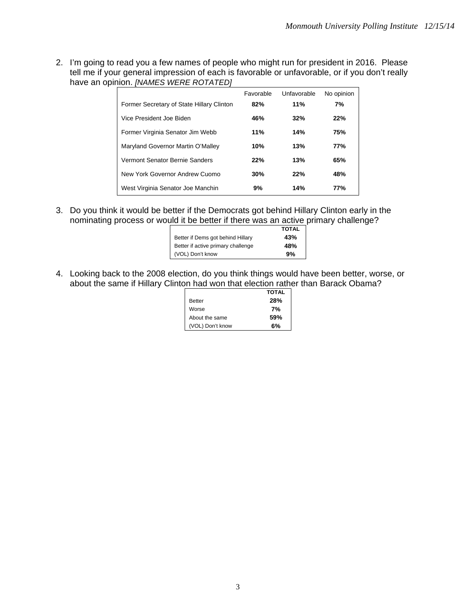2. I'm going to read you a few names of people who might run for president in 2016. Please tell me if your general impression of each is favorable or unfavorable, or if you don't really have an opinion. *[NAMES WERE ROTATED]*

|                                           | Favorable | Unfavorable | No opinion |
|-------------------------------------------|-----------|-------------|------------|
| Former Secretary of State Hillary Clinton | 82%       | 11%         | 7%         |
| Vice President Joe Biden                  | 46%       | 32%         | 22%        |
| Former Virginia Senator Jim Webb          | 11%       | 14%         | 75%        |
| Maryland Governor Martin O'Malley         | 10%       | 13%         | 77%        |
| Vermont Senator Bernie Sanders            | 22%       | 13%         | 65%        |
| New York Governor Andrew Cuomo            | 30%       | 22%         | 48%        |
| West Virginia Senator Joe Manchin         | 9%        | 14%         | 77%        |

3. Do you think it would be better if the Democrats got behind Hillary Clinton early in the nominating process or would it be better if there was an active primary challenge?

|                                    | <b>TOTAL</b> |
|------------------------------------|--------------|
| Better if Dems got behind Hillary  | 43%          |
| Better if active primary challenge | 48%          |
| (VOL) Don't know                   | 9%           |

4. Looking back to the 2008 election, do you think things would have been better, worse, or about the same if Hillary Clinton had won that election rather than Barack Obama?

|                  | <b>TOTAL</b> |
|------------------|--------------|
| <b>Better</b>    | <b>28%</b>   |
| Worse            | 7%           |
| About the same   | 59%          |
| (VOL) Don't know | 6%           |